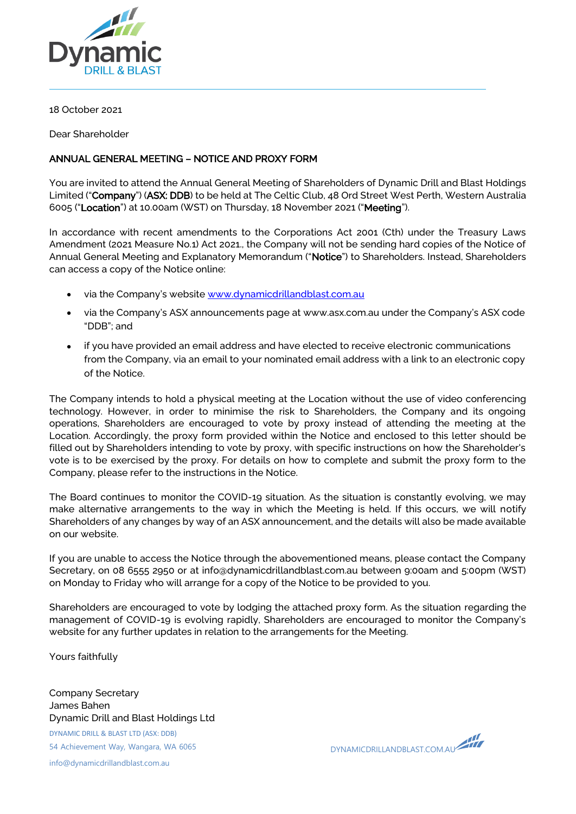

18 October 2021

Dear Shareholder

## ANNUAL GENERAL MEETING – NOTICE AND PROXY FORM

You are invited to attend the Annual General Meeting of Shareholders of Dynamic Drill and Blast Holdings Limited ("Company") (ASX: DDB) to be held at The Celtic Club, 48 Ord Street West Perth, Western Australia 6005 ("Location") at 10.00am (WST) on Thursday, 18 November 2021 ("Meeting").

In accordance with recent amendments to the Corporations Act 2001 (Cth) under the Treasury Laws Amendment (2021 Measure No.1) Act 2021., the Company will not be sending hard copies of the Notice of Annual General Meeting and Explanatory Memorandum ("Notice") to Shareholders. Instead, Shareholders can access a copy of the Notice online:

- via the Company's website [www.dynamicdrillandblast.com.au](http://www.dynamicdrillandblast.com.au/)
- via the Company's ASX announcements page at www.asx.com.au under the Company's ASX code "DDB"; and
- if you have provided an email address and have elected to receive electronic communications from the Company, via an email to your nominated email address with a link to an electronic copy of the Notice.

The Company intends to hold a physical meeting at the Location without the use of video conferencing technology. However, in order to minimise the risk to Shareholders, the Company and its ongoing operations, Shareholders are encouraged to vote by proxy instead of attending the meeting at the Location. Accordingly, the proxy form provided within the Notice and enclosed to this letter should be filled out by Shareholders intending to vote by proxy, with specific instructions on how the Shareholder's vote is to be exercised by the proxy. For details on how to complete and submit the proxy form to the Company, please refer to the instructions in the Notice.

The Board continues to monitor the COVID-19 situation. As the situation is constantly evolving, we may make alternative arrangements to the way in which the Meeting is held. If this occurs, we will notify Shareholders of any changes by way of an ASX announcement, and the details will also be made available on our website.

If you are unable to access the Notice through the abovementioned means, please contact the Company Secretary, on 08 6555 2950 or at info@dynamicdrillandblast.com.au between 9:00am and 5:00pm (WST) on Monday to Friday who will arrange for a copy of the Notice to be provided to you.

Shareholders are encouraged to vote by lodging the attached proxy form. As the situation regarding the management of COVID-19 is evolving rapidly, Shareholders are encouraged to monitor the Company's website for any further updates in relation to the arrangements for the Meeting.

Yours faithfully

DYNAMIC DRILL & BLAST LTD (ASX: DDB) 54 Achievement Way, Wangara, WA 6065 info@dynamicdrillandblast.com.au Company Secretary James Bahen Dynamic Drill and Blast Holdings Ltd

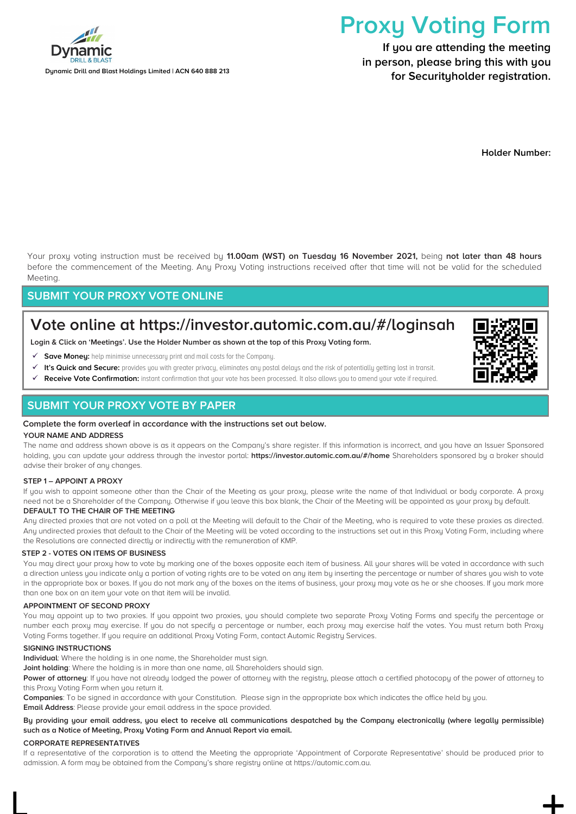

Dynamic Drill and Blast Holdings Limited | ACN 640 888 213

# Proxy Voting Form

If you are attending the meeting in person, please bring this with you for Securityholder registration.

Holder Number:

Your proxy voting instruction must be received by 11.00am (WST) on Tuesday 16 November 2021, being not later than 48 hours before the commencement of the Meeting. Any Proxy Voting instructions received after that time will not be valid for the scheduled Meeting.

# SUBMIT YOUR PROXY VOTE ONLINE

# Vote online at https://investor.automic.com.au/#/loginsah

Login & Click on 'Meetings'. Use the Holder Number as shown at the top of this Proxy Voting form.

- Save Moneu: help minimise unnecessary print and mail costs for the Company.
- It's Quick and Secure: provides you with greater privacy, eliminates any postal delays and the risk of potentially getting lost in transit.
- Receive Vote Confirmation: instant confirmation that your vote has been processed. It also allows you to amend your vote if required.

# SUBMIT YOUR PROXY VOTE BY PAPER

#### Complete the form overleaf in accordance with the instructions set out below.

#### YOUR NAME AND ADDRESS

The name and address shown above is as it appears on the Company's share register. If this information is incorrect, and you have an Issuer Sponsored holding, you can update your address through the investor portal: https://investor.automic.com.au/#/home Shareholders sponsored by a broker should advise their broker of any changes.

#### STEP 1 – APPOINT A PROXY

If you wish to appoint someone other than the Chair of the Meeting as your proxy, please write the name of that Individual or body corporate. A proxy need not be a Shareholder of the Company. Otherwise if you leave this box blank, the Chair of the Meeting will be appointed as your proxy by default.

#### DEFAULT TO THE CHAIR OF THE MEETING

Any directed proxies that are not voted on a poll at the Meeting will default to the Chair of the Meeting, who is required to vote these proxies as directed. Any undirected proxies that default to the Chair of the Meeting will be voted according to the instructions set out in this Proxy Voting Form, including where the Resolutions are connected directly or indirectly with the remuneration of KMP.

#### STEP 2 - VOTES ON ITEMS OF BUSINESS

You may direct your proxy how to vote by marking one of the boxes opposite each item of business. All your shares will be voted in accordance with such a direction unless you indicate only a portion of voting rights are to be voted on any item by inserting the percentage or number of shares you wish to vote in the appropriate box or boxes. If you do not mark any of the boxes on the items of business, your proxy may vote as he or she chooses. If you mark more than one box on an item your vote on that item will be invalid.

#### APPOINTMENT OF SECOND PROXY

You may appoint up to two proxies. If you appoint two proxies, you should complete two separate Proxy Voting Forms and specify the percentage or number each proxy may exercise. If you do not specify a percentage or number, each proxy may exercise half the votes. You must return both Proxy Voting Forms together. If you require an additional Proxy Voting Form, contact Automic Registry Services.

#### SIGNING INSTRUCTIONS

Individual: Where the holding is in one name, the Shareholder must sign.

Joint holding: Where the holding is in more than one name, all Shareholders should sign.

Power of attorney: If you have not already lodged the power of attorney with the registry, please attach a certified photocopy of the power of attorney to this Proxy Voting Form when you return it.

Companies: To be signed in accordance with your Constitution. Please sign in the appropriate box which indicates the office held by you. **Email Address:** Please provide your email address in the space provided.

#### By providing your email address, you elect to receive all communications despatched by the Company electronically (where legally permissible) such as a Notice of Meeting, Proxy Voting Form and Annual Report via email.

#### CORPORATE REPRESENTATIVES

If a representative of the corporation is to attend the Meeting the appropriate 'Appointment of Corporate Representative' should be produced prior to admission. A form may be obtained from the Company's share registry online at https://automic.com.au.

 $\Box$